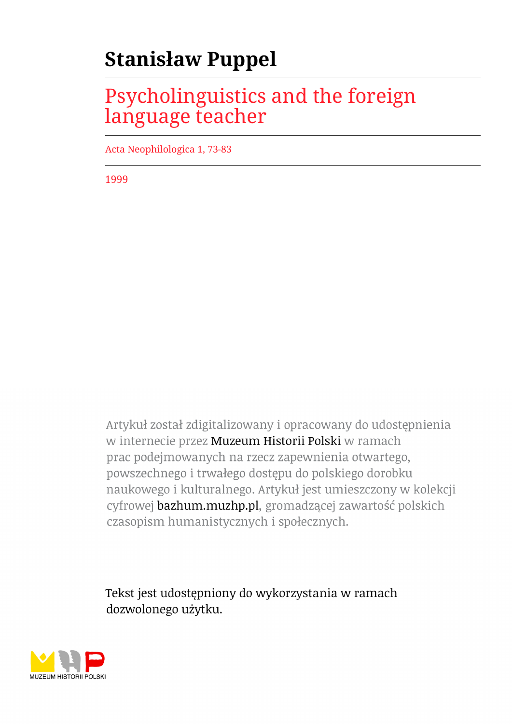# **Stanisław Puppel**

## Psycholinguistics and the foreign language teacher

Acta Neophilologica 1, 73-83

1999

Artykuł został zdigitalizowany i opracowany do udostępnienia w internecie przez Muzeum Historii Polski w ramach prac podejmowanych na rzecz zapewnienia otwartego, powszechnego i trwałego dostępu do polskiego dorobku naukowego i kulturalnego. Artykuł jest umieszczony w kolekcji cyfrowej bazhum.muzhp.pl, gromadzącej zawartość polskich czasopism humanistycznych i społecznych.

Tekst jest udostępniony do wykorzystania w ramach dozwolonego użytku.

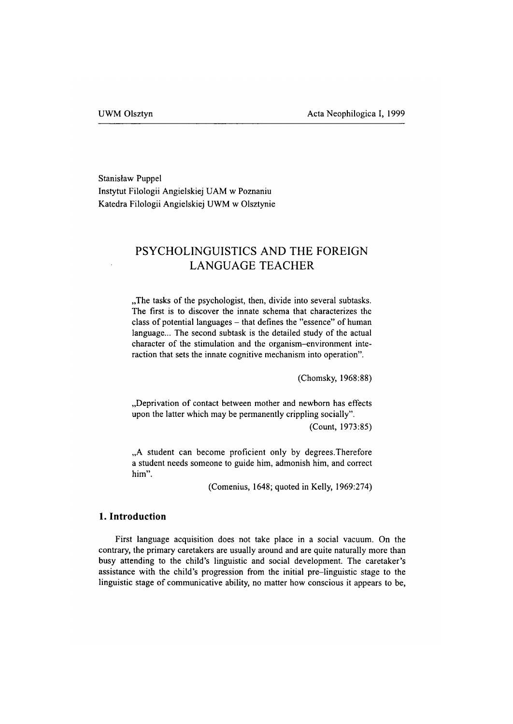Stanisław Puppel Instytut Filologii Angielskiej UAM w Poznaniu Katedra Filologii Angielskiej UWM w Olsztynie

## **PSYCHOLINGUISTICS AND THE FOREIGN LANGUAGE TEACHER**

. The tasks of the psychologist, then, divide into several subtasks. The first is to discover the innate schema that characterizes the class of potential languages - that defines the ''essence" of human language... The second subtask is the detailed study of the actual character of the stimulation and the organism-environment interaction that sets the innate cognitive mechanism into operation".

(Chomsky, 1968:88)

"Deprivation of contact between mother and newborn has effects upon the latter which may be permanently crippling socially".

(Count, 1973:85)

...A student can become proficient only by degrees. Therefore a student needs someone to guide him, admonish him, and correct him".

(Comenius, 1648; quoted in Kelly, 1969:274)

#### **1. Introduction**

First language acquisition does not take place in a social vacuum. On the contrary, the primary caretakers are usually around and are quite naturally more than busy attending to the child's linguistic and social development. The caretaker's assistance with the child's progression from the initial pre-linguistic stage to the linguistic stage of communicative ability, no matter how conscious it appears to be,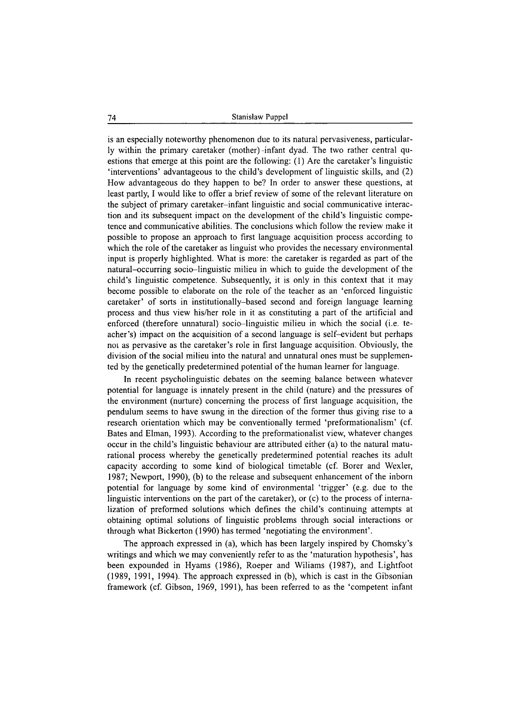is an especially noteworthy phenomenon due to its natural pervasiveness, particularly within the primary caretaker (mother)-infant dyad. The two rather central questions that emerge at this point are the following: (1) Are the caretaker's linguistic 'interventions' advantageous to the child's development of linguistic skills, and (2) How advantageous do they happen to be? In order to answer these questions, at least partly, I would like to offer a brief review of some of the relevant literature on the subject of primary caretaker-infant linguistic and social communicative interaction and its subsequent impact on the development of the child's linguistic competence and communicative abilities. The conclusions which follow the review make it possible to propose an approach to first language acquisition process according to which the role of the caretaker as linguist who provides the necessary environmental input is properly highlighted. What is more: the caretaker is regarded as part of the natural-occurring socio-linguistic milieu in which to guide the development of the child's linguistic competence. Subsequently, it is only in this context that it may become possible to elaborate on the role of the teacher as an 'enforced linguistic caretaker' of sorts in institutionally-based second and foreign language learning process and thus view his/her role in it as constituting a part of the artificial and enforced (therefore unnatural) socio-linguistic milieu in which the social (i.e. teacher's) impact on the acquisition of a second language is self-evident but perhaps not as pervasive as the caretaker's role in first language acquisition. Obviously, the division of the social milieu into the natural and unnatural ones must be supplemented by the genetically predetermined potential of the human learner for language.

In recent psycholinguistic debates on the seeming balance between whatever potential for language is innately present in the child (nature) and the pressures of the environment (nurture) concerning the process of first language acquisition, the pendulum seems to have swung in the direction of the former thus giving rise to a research orientation which may be conventionally termed 'preformationalism' (cf. Bates and Elman, 1993). According to the preformationalist view, whatever changes occur in the child's linguistic behaviour are attributed either (a) to the natural maturational process whereby the genetically predetermined potential reaches its adult capacity according to some kind of biological timetable (cf. Borer and Wexler, 1987; Newport, 1990), (b) to the release and subsequent enhancement of the inborn potential for language by some kind of environmental 'trigger' (e.g. due to the linguistic interventions on the part of the caretaker), or (c) to the process of internalization of preformed solutions which defines the child's continuing attempts at obtaining optimal solutions of linguistic problems through social interactions or through what Bickerton (1990) has termed 'negotiating the environment'.

The approach expressed in (a), which has been largely inspired by Chomsky's writings and which we may conveniently refer to as the 'maturation hypothesis', has been expounded in Hyams (1986), Roeper and Wiliams (1987), and Lightfoot (1989, 1991, 1994). The approach expressed in (b), which is cast in the Gibsonian framework (cf. Gibson, 1969, 1991), has been referred to as the 'competent infant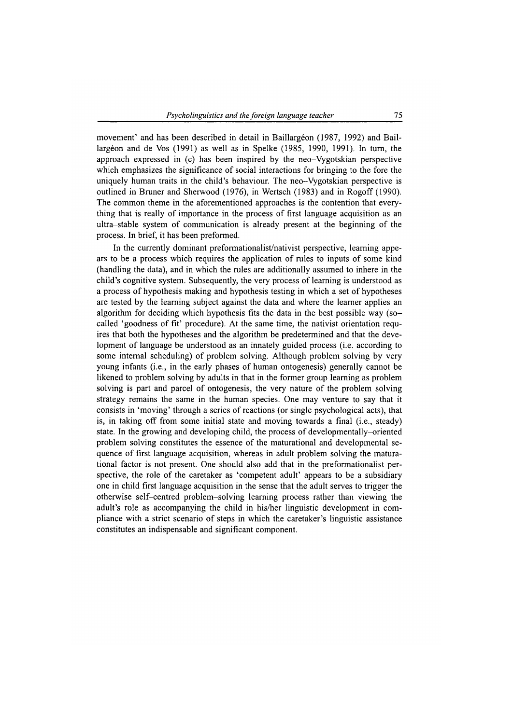movement' and has been described in detail in Baillargeon (1987, 1992) and Baillargeon and de Vos (1991) as well as in Spelke (1985, 1990, 1991). In turn, the approach expressed in (c) has been inspired by the neo-Vygotskian perspective which emphasizes the significance of social interactions for bringing to the fore the uniquely human traits in the child's behaviour. The neo-Vygotskian perspective is outlined in Bruner and Sherwood (1976), in Wertsch (1983) and in Rogoff (1990). The common theme in the aforementioned approaches is the contention that everything that is really of importance in the process of first language acquisition as an ultra-stable system of communication is already present at the beginning of the process. In brief, it has been preformed.

In the currently dominant preformationalist/nativist perspective, learning appears to be a process which requires the application of rules to inputs of some kind (handling the data), and in which the rules are additionally assumed to inhere in the child's cognitive system. Subsequently, the very process of learning is understood as a process of hypothesis making and hypothesis testing in which a set of hypotheses are tested by the learning subject against the data and where the learner applies an algorithm for deciding which hypothesis fits the data in the best possible way (socalled 'goodness of fit' procedure). At the same time, the nativist orientation requires that both the hypotheses and the algorithm be predetermined and that the development of language be understood as an innately guided process (i.e. according to some internal scheduling) of problem solving. Although problem solving by very young infants (i.e., in the early phases of human ontogenesis) generally cannot be likened to problem solving by adults in that in the former group learning as problem solving is part and parcel of ontogenesis, the very nature of the problem solving strategy remains the same in the human species. One may venture to say that it consists in 'moving' through a series of reactions (or single psychological acts), that is, in taking off from some initial state and moving towards a final (i.e., steady) state. In the growing and developing child, the process of developmentally-oriented problem solving constitutes the essence of the maturational and developmental sequence of first language acquisition, whereas in adult problem solving the maturational factor is not present. One should also add that in the preformationalist perspective, the role of the caretaker as 'competent adult' appears to be a subsidiary one in child first language acquisition in the sense that the adult serves to trigger the otherwise self-centred problem-solving learning process rather than viewing the adult's role as accompanying the child in his/her linguistic development in compliance with a strict scenario of steps in which the caretaker's linguistic assistance constitutes an indispensable and significant component.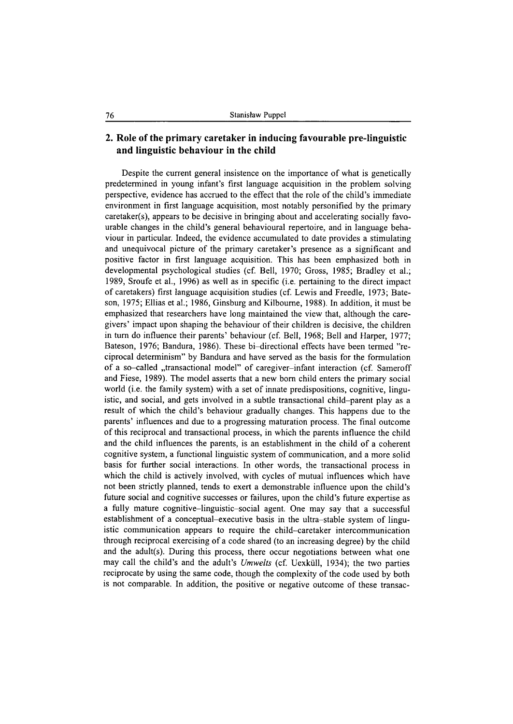### **2. Role of the primary caretaker in inducing favourable pre-Iinguistic and linguistic behaviour in the child**

Despite the current general insistence on the importance of what is genetically predetermined in young infant's first language acquisition in the problem solving perspective, evidence has accrued to the effect that the role of the child's immediate environment in first language acquisition, most notably personified by the primary caretaker(s), appears to be decisive in bringing about and accelerating socially favourable changes in the child's general behavioural repertoire, and in language behaviour in particular. Indeed, the evidence accumulated to date provides a stimulating and unequivocal picture of the primary caretaker's presence as a significant and positive factor in first language acquisition. This has been emphasized both in developmental psychological studies (cf. Bell, 1970; Gross, 1985; Bradley et al.; 1989, Sroufe et al., 1996) as well as in specific (i.e. pertaining to the direct impact of caretakers) first language acquisition studies (cf. Lewis and Freedle, 1973; Bateson, 1975; Ellias et al.; 1986, Ginsburg and Kilboume, 1988). In addition, it must be emphasized that researchers have long maintained the view that, although the caregivers' impact upon shaping the behaviour of their children is decisive, the children in turn do influence their parents' behaviour (cf. Bell, 1968; Bell and Harper, 1977; Bateson, 1976; Bandura, 1986). These bi-directional effects have been termed ''reciprocal determinism" by Bandura and have served as the basis for the formulation of a so-called "transactional model" of caregiver-infant interaction (cf. Sameroff and Fiese, 1989). The model asserts that a new bom child enters the primary social world (i.e. the family system) with a set of innate predispositions, cognitive, linguistic, and social, and gets involved in a subtle transactional child-parent play as a result of which the child's behaviour gradually changes. This happens due to the parents' influences and due to a progressing maturation process. The final outcome of this reciprocal and transactional process, in which the parents influence the child and the child influences the parents, is an establishment in the child of a coherent cognitive system, a functional linguistic system of communication, and a more solid basis for further social interactions. In other words, the transactional process in which the child is actively involved, with cycles of mutual influences which have not been strictly planned, tends to exert a demonstrable influence upon the child's future social and cognitive successes or failures, upon the child's future expertise as a fully mature cognitive-linguistic-social agent. One may say that a successful establishment of a conceptual-executive basis in the ultra-stable system of linguistic communication appears to require the child-caretaker intercommunication through reciprocal exercising of a code shared (to an increasing degree) by the child and the adult(s). During this process, there occur negotiations between what one may call the child's and the adult's *Umwelts* (cf. Uexkiill, 1934); the two parties reciprocate by using the same code, though the complexity of the code used by both is not comparable. In addition, the positive or negative outcome of these transac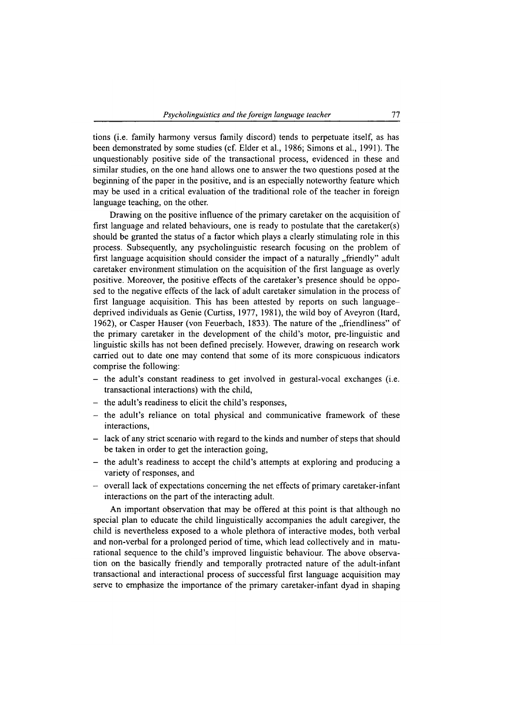tions (i.e. family harmony versus family discord) tends to perpetuate itself, as has been demonstrated by some studies (cf. Elder et al., 1986; Simons et al., 1991). The unquestionably positive side of the transactional process, evidenced in these and similar studies, on the one hand allows one to answer the two questions posed at the beginning of the paper in the positive, and is an especially noteworthy feature which may be used in a critical evaluation of the traditional role of the teacher in foreign language teaching, on the other.

Drawing on the positive influence of the primary caretaker on the acquisition of first language and related behaviours, one is ready to postulate that the caretaker(s) should be granted the status of a factor which plays a clearly stimulating role in this process. Subsequently, any psycholinguistic research focusing on the problem of first language acquisition should consider the impact of a naturally "friendly" adult caretaker environment stimulation on the acquisition of the first language as overly positive. Moreover, the positive effects of the caretaker's presence should be opposed to the negative effects of the lack of adult caretaker simulation in the process of first language acquisition. This has been attested by reports on such languagedeprived individuals as Genie (Curtiss, 1977, 1981), the wild boy of Aveyron (Itard, 1962), or Casper Hauser (von Feuerbach, 1833). The nature of the "friendliness" of the primary caretaker in the development of the child's motor, pre-linguistic and linguistic skills has not been defined precisely. However, drawing on research work carried out to date one may contend that some of its more conspicuous indicators comprise the following:

- the adult's constant readiness to get involved in gestural-vocal exchanges (i.e. transactional interactions) with the child,
- the adult's readiness to elicit the child's responses,
- the adult's reliance on total physical and communicative framework of these interactions,
- lack of any strict scenario with regard to the kinds and number of steps that should be taken in order to get the interaction going,
- the adult's readiness to accept the child's attempts at exploring and producing a variety of responses, and
- overall lack of expectations concerning the net effects of primary caretaker-infant interactions on the part of the interacting adult.

An important observation that may be offered at this point is that although no special plan to educate the child linguistically accompanies the adult caregiver, the child is nevertheless exposed to a whole plethora of interactive modes, both verbal and non-verbal for a prolonged period of time, which lead collectively and in maturational sequence to the child's improved linguistic behaviour. The above observation on the basically friendly and temporally protracted nature of the adult-infant transactional and interactional process of successful first language acquisition may serve to emphasize the importance of the primary caretaker-infant dyad in shaping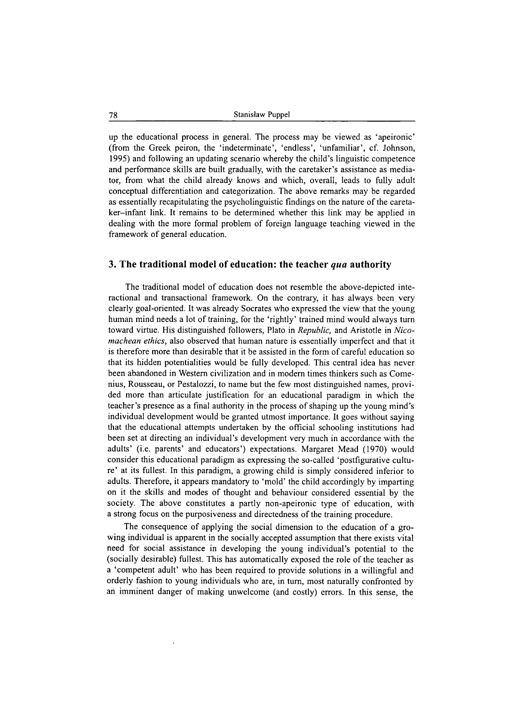up the educational process in general. The process may be viewed as 'apeironic' (from the Greek peiron, the 'indeterminate', 'endless', 'unfamiliar', cf. Johnson, 1995) and following an updating scenario whereby the child's linguistic competence and performance skills are built gradually, with the caretaker's assistance as mediator, from what the child already knows and which, overall, leads to fully adult conceptual differentiation and categorization. The above remarks may be regarded as essentially recapitulating the psycholinguistic findings on the nature of the caretaker-infant link. It remains to be determined whether this link may be applied in dealing with the more formal problem of foreign language teaching viewed in the framework of general education.

#### **3. The traditional model of education: the teacher** *qua* **authority**

The traditional model of education does not resemble the above-depicted interactional and transactional framework. On the contrary, it has always been very clearly goal-oriented. It was already Socrates who expressed the view that the young human mind needs a lot of training, for the 'rightly' trained mind would always turn toward virtue. His distinguished followers, Plato in *Republic,* and Aristotle in *Nicomachean ethics,* also observed that human nature is essentially imperfect and that it is therefore more than desirable that it be assisted in the form of careful education so that its hidden potentialities would be fully developed. This central idea has never been abandoned in Western civilization and in modern times thinkers such as Comenius, Rousseau, or Pestalozzi, to name but the few most distinguished names, provided more than articulate justification for an educational paradigm in which the teacher's presence as a final authority in the process of shaping up the young mind's individual development would be granted utmost importance. It goes without saying that the educational attempts undertaken by the official schooling institutions had been set at directing an individual's development very much in accordance with the adults' (i.e. parents' and educators') expectations. Margaret Mead (1970) would consider this educational paradigm as expressing the so-called 'postfigurative culture' at its fullest. In this paradigm, a growing child is simply considered inferior to adults. Therefore, it appears mandatory to 'mold' the child accordingly by imparting on it the skills and modes of thought and behaviour considered essential by the society. The above constitutes a partly non-apeironic type of education, with a strong focus on the purposiveness and directedness of the training procedure.

The consequence of applying the social dimension to the education of a growing individual is apparent in the socially accepted assumption that there exists vital need for social assistance in developing the young individual's potential to the (socially desirable) fullest. This has automatically exposed the role of the teacher as a 'competent adult' who has been required to provide solutions in a willingful and orderly fashion to young individuals who are, in turn, most naturally confronted by an imminent danger of making unwelcome (and costly) errors. In this sense, the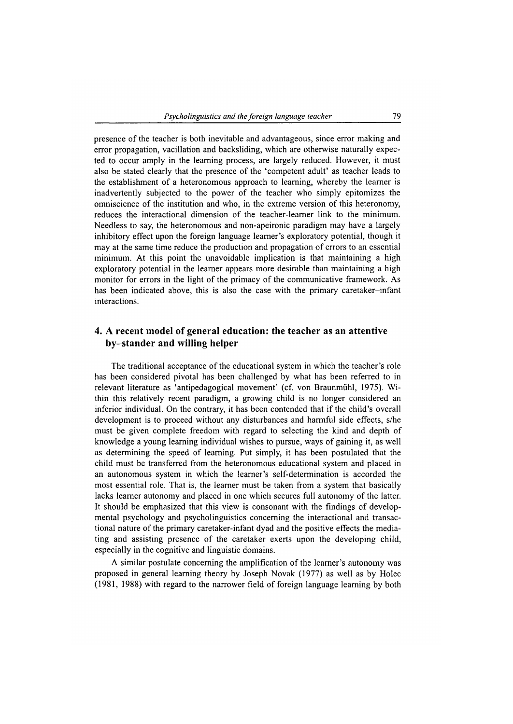presence of the teacher is both inevitable and advantageous, since error making and error propagation, vacillation and backsliding, which are otherwise naturally expected to occur amply in the learning process, are largely reduced. However, it must also be stated clearly that the presence of the 'competent adult' as teacher leads to the establishment of a heteronomous approach to learning, whereby the learner is inadvertently subjected to the power of the teacher who simply epitomizes the omniscience of the institution and who, in the extreme version of this heteronomy, reduces the interactional dimension of the teacher-learner link to the minimum. Needless to say, the heteronomous and non-apeironic paradigm may have a largely inhibitory effect upon the foreign language learner's exploratory potential, though it may at the same time reduce the production and propagation of errors to an essential minimum. At this point the unavoidable implication is that maintaining a high exploratory potential in the learner appears more desirable than maintaining a high monitor for errors in the light of the primacy of the communicative framework. As has been indicated above, this is also the case with the primary caretaker-infant interactions.

### **4. A recent model of general education: the teacher as an attentive by-stander and willing helper**

The traditional acceptance of the educational system in which the teacher's role has been considered pivotal has been challenged by what has been referred to in relevant literature as 'antipedagogical movement' (cf. von Braunmühl, 1975). Within this relatively recent paradigm, a growing child is no longer considered an inferior individual. On the contrary, it has been contended that if the child's overall development is to proceed without any disturbances and harmful side effects, s/he must be given complete freedom with regard to selecting the kind and depth of knowledge a young learning individual wishes to pursue, ways of gaining it, as well as determining the speed of learning. Put simply, it has been postulated that the child must be transferred from the heteronomous educational system and placed in an autonomous system in which the learner's self-determination is accorded the most essential role. That is, the learner must be taken from a system that basically lacks learner autonomy and placed in one which secures full autonomy of the latter. It should be emphasized that this view is consonant with the findings of developmental psychology and psycholinguistics concerning the interactional and transactional nature of the primary caretaker-infant dyad and the positive effects the mediating and assisting presence of the caretaker exerts upon the developing child, especially in the cognitive and linguistic domains.

A similar postulate concerning the amplification of the learner's autonomy was proposed in general learning theory by Joseph Novak (1977) as well as by Holec (1981, 1988) with regard to the narrower field of foreign language learning by both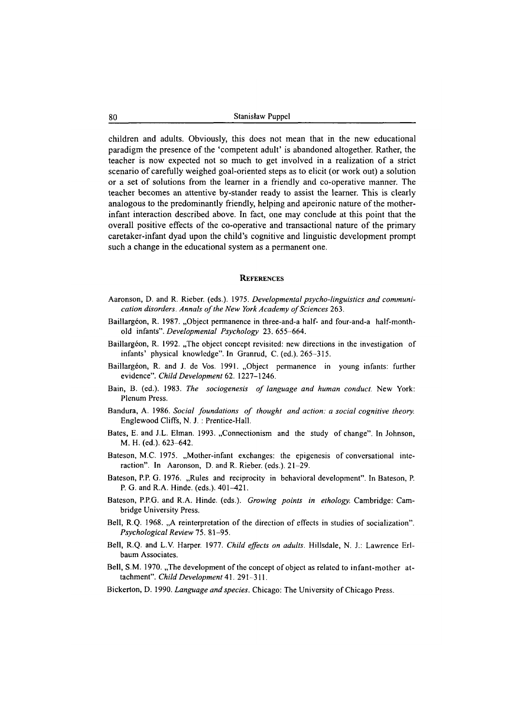children and adults. Obviously, this does not mean that in the new educational paradigm the presence of the 'competent adult' is abandoned altogether. Rather, the teacher is now expected not so much to get involved in a realization of a strict scenario of carefully weighed goal-oriented steps as to elicit (or work out) a solution or a set of solutions from the learner in a friendly and co-operative manner. The teacher becomes an attentive by-stander ready to assist the learner. This is clearly analogous to the predominantly friendly, helping and apeironic nature of the motherinfant interaction described above. In fact, one may conclude at this point that the overall positive effects of the co-operative and transactional nature of the primary caretaker-infant dyad upon the child's cognitive and linguistic development prompt such a change in the educational system as a permanent one.

#### **REFERENCES**

- **Aaronson, D. and R. Rieber. (eds.). 1975.** *Developmental psycho-linguistics and communication disorders. Annals of the New York Academy of Sciences* 263.
- Baillargéon, R. 1987. "Object permanence in three-and-a half- and four-and-a half-month**old infants".** *Developmental Psychology* **23. 655-664.**
- Baillargeon, R. 1992. "The object concept revisited: new directions in the investigation of **infants' physical knowledge". In Granrud, C. (ed.). 265-315.**
- **Baillargeon, R. and J. de Vos. 1991. "Object permanence in young infants: further evidence".** *Child Development* **62. 1227-1246.**
- Bain, B. (ed.). 1983. *The sociogenesis of language and human conduct*. New York: **Plenum Press.**
- Bandura, A. 1986. *Social foundations of thought and action: a social cognitive theory.* **Englewood Cliffs, N. J. : Prentice-Hall.**
- Bates, E. and J.L. Elman. 1993. "Connectionism and the study of change". In Johnson, **M. H. (ed.). 623-642.**
- Bateson, M.C. 1975. "Mother-infant exchanges: the epigenesis of conversational inte**raction". In Aaronson, D. and R. Rieber. (eds.). 21-29.**
- Bateson, P.P. G. 1976. "Rules and reciprocity in behavioral development". In Bateson, P. **P. G. and R.A. Hinde. (eds.). 401-421.**
- **Bateson, P.P.G. and R.A. Hinde. (eds.).** *Growing points in ethology.* **Cambridge: Cambridge University Press.**
- Bell, R.Q. 1968. "A reinterpretation of the direction of effects in studies of socialization". *Psychological Review* **75. 81-95.**
- **Bell, R.Q. and L.V. Harper. 1977.** *Child effects on adults.* **Hillsdale, N. J.: Lawrence Erlbaum Associates.**
- Bell, S.M. 1970. "The development of the concept of object as related to infant-mother at**tachment".** *Child Development* **41. 291-311.**
- Bickerton, D. 1990. *Language and species*. Chicago: The University of Chicago Press.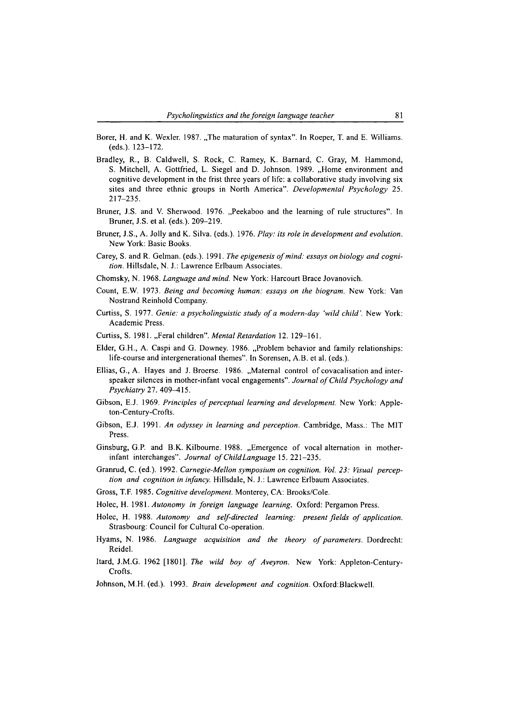- **Borer, H. and K. Wexler. 1987. "The maturation of syntax". In Roeper, T. and E. Williams, (eds.). 123-172.**
- **Bradley, R., B. Caldwell, S. Rock, C. Ramey, K. Barnard, C. Gray, M. Hammond, S. Mitchell, A. Gottfried, L. Siegel and D. Johnson. 1989. "Home environment and cognitive development in the frist three years of life: a collaborative study involving six sites and three ethnic groups in North America".** *Developmental Psychology* **25. 217-235.**
- Bruner, J.S. and V. Sherwood. 1976. "Peekaboo and the learning of rule structures". In **Bruner, J.S. et al. (eds.). 209-219.**
- **Bruner, J.S., A. Jolly and K. Silva, (eds.). 1976.** *Play: its role in development and evolution.* **New York: Basic Books.**
- Carey, S. and R. Gelman. (eds.). 1991. *The epigenesis of mind: essays on biology and cognition.* **Hillsdale, N. J.: Lawrence Erlbaum Associates.**
- **Chomsky, N. 1968.** *Language and mind.* **New York: Harcourt Brace Jovanovich.**
- **Count, E.W. 1973.** *Being and becoming human: essays on the biogram.* **New York: Van Nostrand Reinhold Company.**
- **Curtiss, S. 1977.** *Genie: a psycholinguistic study o f a modern-day 'wild child'.* **New York: Academic Press.**
- **Curtiss, S. 1981. "Feral children".** *Mental Retardation* **12. 129-161.**
- Elder, G.H., A. Caspi and G. Downey. 1986. "Problem behavior and family relationships: **life-course and intergenerational themes". In Sorensen, A.B. et al. (eds.).**
- Ellias, G., A. Hayes and J. Broerse. 1986. "Maternal control of covacalisation and interspeaker silences in mother-infant vocal engagements". *Journal of Child Psychology and Psychiatry* **27. 409-415.**
- Gibson, E.J. 1969. Principles of perceptual learning and development. New York: Apple**ton-Century-Crofts.**
- **Gibson, E.J. 1991.** *An odyssey in learning and perception.* **Cambridge, Mass.: The MIT Press.**
- Ginsburg, G.P. and B.K. Kilbourne. 1988. "Emergence of vocal alternation in motherinfant interchanges". *Journal of Child Language* 15. 221-235.
- **Granrud, C. (ed.). 1992.** *Carnegie-Mellon symposium on cognition. Vol. 23: Visual perception and cognition in infancy.* **Hillsdale, N. J.: Lawrence Erlbaum Associates.**
- **Gross, T.F. 1985.** *Cognitive development.* **Monterey, CA: Brooks/Cole.**
- **Holec, H. 1981.** *Autonomy in foreign language learning.* **Oxford: Pergamon Press.**
- Holec, H. 1988. *Autonomy and self-directed learning: present fields of application.* **Strasbourg: Council for Cultural Co-operation.**
- Hyams, N. 1986. *Language acquisition and the theory of parameters*. Dordrecht: **Reidel.**
- Itard, J.M.G. 1962 [1801]. The wild boy of Aveyron. New York: Appleton-Century-**Crofts.**
- **Johnson, M.H. (ed.). 1993.** *Brain development and cognition.* **Oxford:Blackwell.**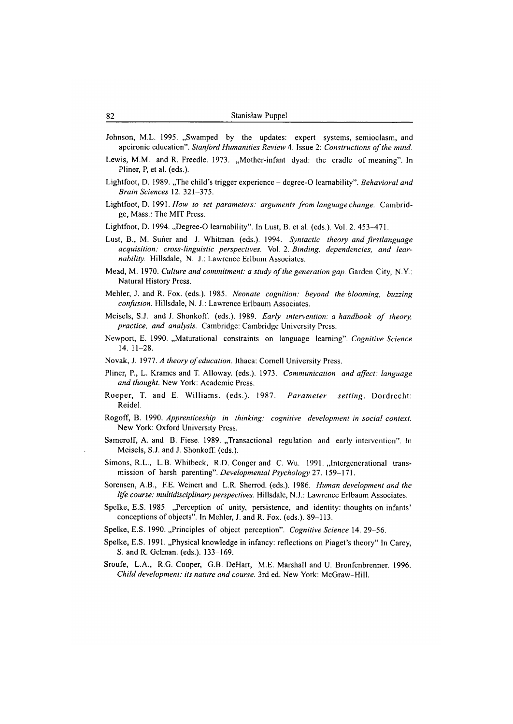- Johnson, M.L. 1995. "Swamped by the updates: expert systems, semioclasm, and apeironic education". *Stanford Humanities Review 4.* Issue 2: *Constructions of the mind.*
- Lewis, M.M. and R. Freedle. 1973. "Mother-infant dyad: the cradle of meaning". In **Pliner, P, et al. (eds.).**
- Lightfoot, D. 1989. The child's trigger experience degree-O learnability". *Behavioral and Brain Sciences* **12. 321-375.**
- **Lightfoot, D. 1991.** *How to set parameters: arguments from language change.* **Cambridge, Mass.: The MIT Press.**
- Lightfoot, D. 1994. "Degree-O learnability". In Lust, B. et al. (eds.). Vol. 2. 453-471.
- **Lust, B., M. Suner and J. Whitman, (eds.). 1994.** *Syntactic theory and firstlanguage acquisition: cross-linguistic perspectives.* **Vol. 2.** *Binding, dependencies, and learnability.* **Hillsdale, N. J.: Lawrence Erlbum Associates.**
- **Mead, M. 1970.** *Culture and commitment: a study o f the generation gap.* **Garden City, N.Y.: Natural History Press.**
- **Mehler, J. and R. Fox. (eds.). 1985.** *Neonate cognition: beyond the blooming, buzzing confusion.* **Hillsdale, N. J.: Lawrence Erlbaum Associates.**
- Meisels, S.J. and J. Shonkoff. (eds.). 1989. *Early intervention: a handbook of theory*, *practice, and analysis.* **Cambridge: Cambridge University Press.**
- Newport, E. 1990. "Maturational constraints on language learning". *Cognitive Science* **14. 11-28.**
- Novak, J. 1977. *A theory of education*. Ithaca: Cornell University Press.
- **Pliner, P., L. Krames and T. Alloway. (eds.). 1973.** *Communication and affect: language and thought.* **New York: Academic Press.**
- **Roeper, T. and E. W illiam s, (eds.). 1987.** *P aram eter settin g.* **Dordrecht: Reidel.**
- **Rogoff, B. 1990.** *Apprenticeship in thinking: cognitive development in social context.* **New York: Oxford University Press.**
- Sameroff, A. and B. Fiese. 1989. "Transactional regulation and early intervention". In **Meisels, S.J. and J. Shonkoff. (eds.).**
- Simons, R.L., L.B. Whitbeck, R.D. Conger and C. Wu. 1991. "Intergenerational trans**mission of harsh parenting".** *Developmental Psychology 21.* **159-171.**
- **Sorensen, A.B., F.E. Weinert and L.R. Sherrod, (eds.). 1986.** *Human development and the life course: multidisciplinary perspectives.* **Hillsdale, N.J.: Lawrence Erlbaum Associates.**
- **Spelke, E.S. 1985. "Perception of unity, persistence, and identity: thoughts on infants'** conceptions of objects". In Mehler, J. and R. Fox. (eds.). 89-113.
- Spelke, E.S. 1990. "Principles of object perception". *Cognitive Science* 14. 29-56.
- Spelke, E.S. 1991. "Physical knowledge in infancy: reflections on Piaget's theory" In Carey, **S. and R. Gelman. (eds.). 133-169.**
- **Sroufe, L.A., R.G. Cooper, G.B. DeHart, M.E. Marshall and U. Bronfenbrenner. 1996.** *Child development: its nature and course.* **3rd ed. New York: McGraw-Hill.**